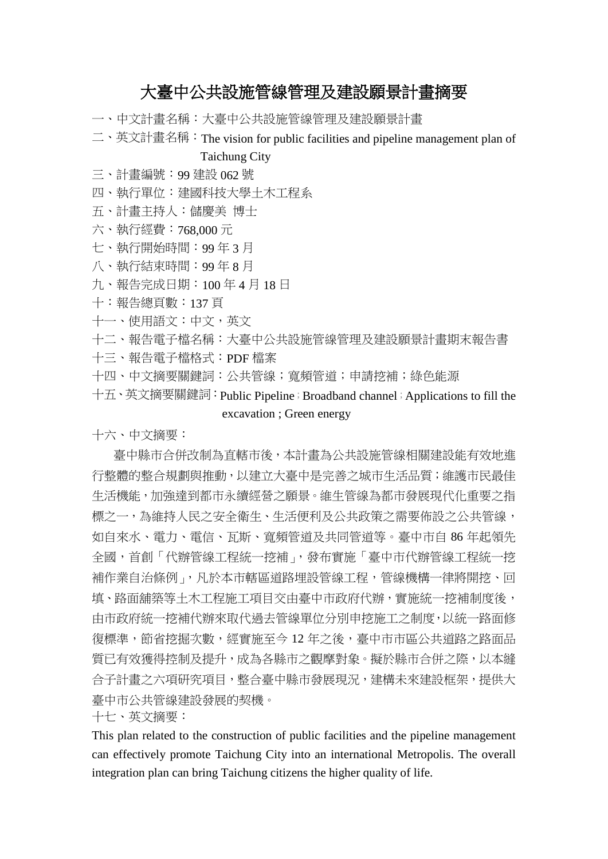## 大臺中公共設施管線管理及建設願景計畫摘要

- 一、中文計畫名稱:大臺中公共設施管線管理及建設願景計畫
- 二、英文計畫名稱:The vision for public facilities and pipeline management plan of Taichung City
- 三、計畫編號:99 建設 062 號
- 四、執行單位:建國科技大學土木工程系
- 五、計畫主持人:儲慶美 博士
- 六、執行經費:768,000 元
- 七、執行開始時間:99 年 3 月
- 八、執行結束時間:99 年 8 月
- 九、報告完成日期:100 年 4 月 18 日
- 十:報告總頁數:137 頁
- 十一、使用語文:中文,英文
- 十二、報告電子檔名稱:大臺中公共設施管線管理及建設願景計畫期末報告書
- 十三、報告電子檔格式:PDF 檔案
- 十四、中文摘要關鍵詞:公共管線;寬頻管道;申請挖補;綠色能源
- 十五、英文摘要關鍵詞:Public Pipeline ; Broadband channel ; Applications to fill the excavation ; Green energy

十六、中文摘要:

臺中縣市合併改制為直轄市後,本計畫為公共設施管線相關建設能有效地進 行整體的整合規劃與推動,以建立大臺中是完善之城市生活品質;維護市民最佳 生活機能,加強達到都市永續經營之願景。維生管線為都市發展現代化重要之指 標之一,為維持人民之安全衛生、生活便利及公共政策之需要佈設之公共管線, 如自來水、電力、電信、瓦斯、寬頻管道及共同管道等。臺中市自 86 年起領先 全國,首創「代辦管線工程統一挖補」,發布實施「臺中市代辦管線工程統一挖 補作業自治條例」,凡於本市轄區道路埋設管線工程,管線機構一律將開挖、回 填、路面舖築等土木工程施工項目交由臺中市政府代辦,實施統一挖補制度後, 由市政府統一挖補代辦來取代過去管線單位分別申挖施工之制度,以統一路面修 復標準,節省挖掘次數,經實施至今 12 年之後,臺中市市區公共道路之路面品 質已有效獲得控制及提升,成為各縣市之觀摩對象。擬於縣市合併之際,以本縫 合子計畫之六項研究項目,整合臺中縣市發展現況,建構未來建設框架,提供大 臺中市公共管線建設發展的契機。

十七、英文摘要:

This plan related to the construction of public facilities and the pipeline management can effectively promote Taichung City into an international Metropolis. The overall integration plan can bring Taichung citizens the higher quality of life.